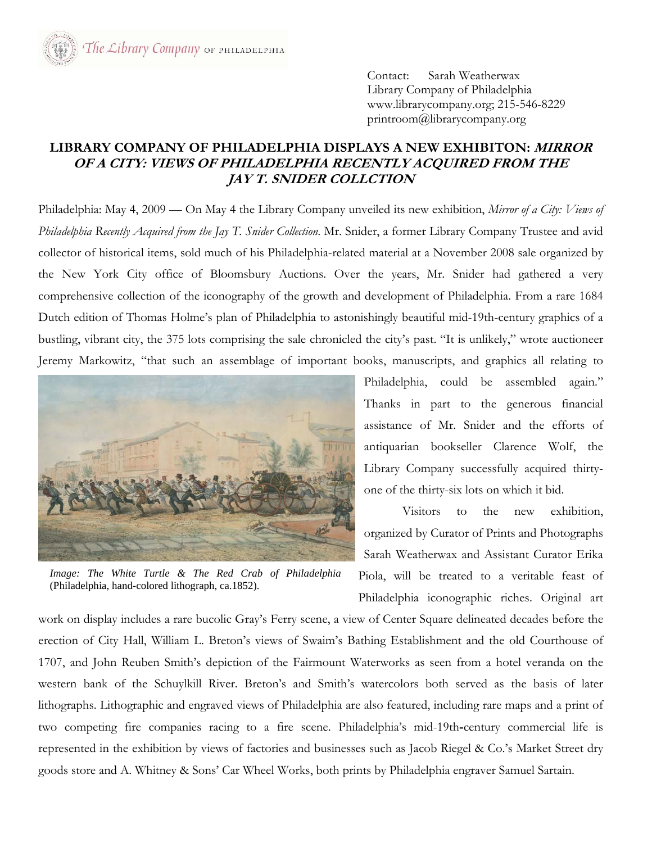Contact: Sarah Weatherwax Library Company of Philadelphia www.librarycompany.org; 215-546-8229 printroom@librarycompany.org

## **LIBRARY COMPANY OF PHILADELPHIA DISPLAYS A NEW EXHIBITON: MIRROR OF A CITY: VIEWS OF PHILADELPHIA RECENTLY ACQUIRED FROM THE JAY T. SNIDER COLLCTION**

Philadelphia: May 4, 2009 — On May 4 the Library Company unveiled its new exhibition, *Mirror of a City: Views of Philadelphia Recently Acquired from the Jay T. Snider Collection*. Mr. Snider, a former Library Company Trustee and avid collector of historical items, sold much of his Philadelphia-related material at a November 2008 sale organized by the New York City office of Bloomsbury Auctions. Over the years, Mr. Snider had gathered a very comprehensive collection of the iconography of the growth and development of Philadelphia. From a rare 1684 Dutch edition of Thomas Holme's plan of Philadelphia to astonishingly beautiful mid-19th-century graphics of a bustling, vibrant city, the 375 lots comprising the sale chronicled the city's past. "It is unlikely," wrote auctioneer Jeremy Markowitz, "that such an assemblage of important books, manuscripts, and graphics all relating to



Philadelphia, could be assembled again." Thanks in part to the generous financial assistance of Mr. Snider and the efforts of antiquarian bookseller Clarence Wolf, the Library Company successfully acquired thirtyone of the thirty-six lots on which it bid.

 Visitors to the new exhibition, organized by Curator of Prints and Photographs Sarah Weatherwax and Assistant Curator Erika Piola, will be treated to a veritable feast of Philadelphia iconographic riches. Original art

*Image: The White Turtle & The Red Crab of Philadelphia* (Philadelphia, hand-colored lithograph, ca.1852).

work on display includes a rare bucolic Gray's Ferry scene, a view of Center Square delineated decades before the erection of City Hall, William L. Breton's views of Swaim's Bathing Establishment and the old Courthouse of 1707, and John Reuben Smith's depiction of the Fairmount Waterworks as seen from a hotel veranda on the western bank of the Schuylkill River. Breton's and Smith's watercolors both served as the basis of later lithographs. Lithographic and engraved views of Philadelphia are also featured, including rare maps and a print of two competing fire companies racing to a fire scene. Philadelphia's mid-19th**-**century commercial life is represented in the exhibition by views of factories and businesses such as Jacob Riegel & Co.'s Market Street dry goods store and A. Whitney & Sons' Car Wheel Works, both prints by Philadelphia engraver Samuel Sartain.